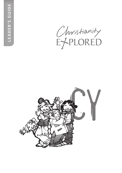Christianity

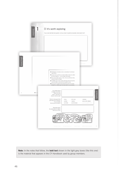

**Note:** In the notes that follow, the **bold text** shown in the light grey boxes (like this one) is the material that appears in the *CY Handbook* used by group members.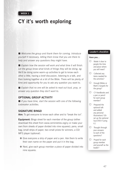# **CY it's worth exploring**

 $\blacksquare$  Welcome the group and thank them for coming. Introduce *yourself if necessary, letting them know that you are there to help and answer any questions they might have.* 

**Explain how the session will work and what time it will finish.** *Let the group know what kinds of things they will be doing, eg:*  We'll be doing some warm-up activities to get to know each other a little, having a brief discussion, listening to a talk, and then looking together at a bit of the Bible. There will be plenty of time and opportunity for you to ask any question you want to.

**Explain that no one will be asked to read out loud, pray, or** *answer any question they don't want to.*

#### **OPTIONAL GROUP ACTIVITY**

**If you have time, start the session with one of the following** *icebreaker activities.*

#### **SIGNATURE BINGO**

**Aim:** To get everyone to know each other and to "break the ice".

**Equipment:** Bingo sheet for each member of the group (either download this sheet from www.ceministries.org/cy or make your own from sheets of paper divided into nine squares); pens; small bag; small strips of paper; two small prizes for winners; a CD/ MP3 player (optional).

- $\bullet$  Give everyone a strip of paper and a pen. Ask them to write their own name on the paper and put it in the bag.
- Next, give each group member a piece of paper divided into nine squares.

#### **Leader's checklist**

#### **Have you…**

- © Made it clear to people the time and place where you will meet?
- © Collected any items needed for the activities?
- © Enough Bibles or Mark's Gospels for the group?
- © CY Handbooks and a pen or pencil for each group member?
- © Prepared the optional talk and added any personal illustrations? (Or set up the optional Soul DVD if using it.)
- © Thought through your answers to each of the questions?
- © Prayed for each group member and yourself as the leader?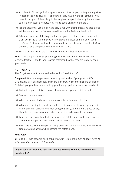- **•** Ask them to fill their grid with signatures from other people, putting one signature in each of the nine squares. If appropriate, play music in the background – you could fit this part of the activity to the length of one particular song track – make sure it's only about 3 minutes long to add some urgen*cy* to the task.
- Tell the group that you are going to play bingo with their names, and that a prize will be awarded for the first completed line and the first completed card.
- **•** Take one name out of the bag at a time. As you call out someone's name, ask them to say "hello" (and maybe tell the group one piece of information about him/herself). If someone has this name on their card, they can cross it out. Once someone has a completed line, they can call "bingo".
- $\bullet$  Have a prize ready for the first completed line and first completed card.

**Note:** If the group is too large, play this game in smaller groups, rather than with everyone together – and tell your leaders beforehand so that they are ready to lead a group each.

# **HOT POTATO**

**Aim**: To get everyone to know each other and to "break the ice".

**Equipment**: One or more potatoes, depending on the size of your group; a CD/ MP3 player; a list of actions (eg: cluck like a chicken, whistle the first line of "Happy Birthday", pat your head while rubbing your tummy, spell your name backwards…)

- $\bullet$  Divide into groups of five or more then ask each group to sit in a circle.
- **•** Give each group a potato.
- $\bullet$  When the music starts, each group passes the potato round the circle.
- $\bullet$  Whoever is holding the potato when the music stops has to stand up, say their name, and then perform the action you give them (eg: turn around three times). They then sit down again and, when the music starts, pass the potato on.
- $\bullet$  From then on, every time that person gets the potato they have to stand up, say their name and perform their action before passing the potato on.
- $\bullet$  Keep playing, with a new person being given an action each time, until the whole group are doing actions while passing the potato along.

# **EXPLORE**

**E** Hand a CY Handbook to each group member. Ask them to turn to page 4 and to *write down their answer to this question:* 

**If you could ask God one question, and you knew it would be answered, what would it be?**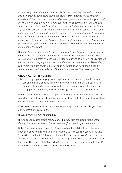**E** Ask the group to share their answers. Note down what they are so that you can *deal with them at some point during the course. Don't attempt to answer all the questions at this time, but do acknowledge every question and assure the group that they will be covered during CY. (Some questions will be answered by the talks and some – like questions about suffering – are best dealt with after the talks on the cross / grace.) However, you may want to answer one or two short questions at this point, if they are simple to deal with and not contentious. You might also want to write your own question and share it with the group. Note: If your group members would be embarrassed to say their questions, ask them to write them on a piece of paper and put them in a "question box". You can then collect all the questions from the box and read them to the group.*

**E** *Either here, or after the talk, the group may ask questions on science/evolution/ creation. Make sure you plan a time to talk about this – probably during a later session, using the notes on page 187. It may be enough at this point to say that the course is not making any particular point about evolution or creation. We're simply showing that we are either the result of an accident or we have been made by someone – and that this makes a difference to how we see "the meaning of life".*

## **GROUP ACTIVITY: POSTER**

**•** Give the group one large piece of paper and some pens. Ask them to draw a poster of things that come into their minds when they think of Christianity. For example, they might draw a large cathedral or church building. If some of the group prefer not to draw, they can write single words on the poster instead.

**Note:** Leaders need to allow the group to draw what they want. If they want to draw something that is theologically problematic, allow them to do it because there will be an opportunity later to correct misunderstandings.

■ Give each person a Bible. Show them where they can find Mark's Gospel. Explain *how chapters and verses work.* 

 $\blacktriangleright$  **Ask everyone to turn to Mark 1:1.** 

**■** One of the leaders should read **Mark 1:1** aloud; then the group should work *through the questions below. The answers are given here for your reference.* 

**Note:** The questions and quotes in *CY* are based on the 1984 edition of the New International Version (NIV). If you are using the 2011 revised NIV, you will find that "Jesus Christ" in Mark 1:1 has been changed to "Jesus the Messiah". The change from "Christ" to "Messiah" does not change the meaning of the verse, since the terms mean the same. They speak of the King who God promised to send into the world. "Christ" is from the Greek word; "Messiah" comes from the Hebrew.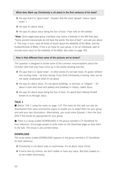#### What does Mark say Christianity is all about in the first sentence of his book?

- He says that it is "good news". (Explain that the word "gospel" means "good news".)
- $\bullet$  He says it's about Jesus.
- $\bullet$  He says it's about Jesus being the Son of God. (\*see note on this below)

**\*Note:** Some eagle-eyed group members may notice a footnote in the NIV that says: "Some ancient manuscripts do not have the words 'the Son of God'", and ask you about it. This may, in turn, raise all kinds of issues about the reliability of the Bible, and the trustworthiness of Mark. If this is an issue for your group, or for an individual, plan to include some input on the reliability of the Bible. See notes on page 183.

#### **How is that different from some of the pictures we've drawn?**

*This question is designed to tackle some of the common misconceptions about the Christian faith that may have come up in the poster-drawing exercise.* 

- $\bullet$  He says that it is "good news". In other words it's not bad news; it's great, brilliant and exciting news – far from boring! If you think Christianity is boring, then you've not really understood what it's all about.
- He says it's about Jesus. It's not about buildings, or services, or "religion" it's about a man who lived and walked and breathed in history, called Jesus.
- $\bullet$  He says it's about Jesus being the Son of God. It's about God making himself known to us through Jesus.

## **TALK 1**

■ Deliver Talk 1 using the notes on page 119. The notes for this talk can also be *downloaded from www.ceministries.org/cy to enable you to adapt them for your group and add your own illustrations. Alternatively, you could show Episode 1 from the Soul DVD if this would be appropriate for your group.*

 $\blacksquare$  There is a recap (called DOWNLOAD) in the group member's CY Handbook for *their reference. Encourage people to write notes on the Download page as they listen to the talk. The recap is also printed below.*

## **DOWNLOAD**

*The recap below (called DOWNLOAD) appears in the group member's CY Handbook for their reference.*

- Christianity is not about rules or ceremonies. It's all about Jesus Christ.
- $\bullet$  If we're here by chance, we don't matter or have any value. But God created us so we matter enormously.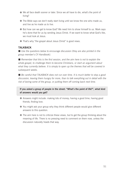- $\bullet$  We all face death sooner or later. Since we all have to die, what's the point of living?
- **•** The Bible says we don't really start living until we know the one who made us, and live as he made us to live.
- But how can we get to know God? We need him to show himself to us. Mark says he's done that for us by sending Jesus Christ. If we want to know what God's like, we must look at Jesus.
- That's why "the gospel about Jesus Christ" is good news.

## **TALKBACK**

 $\blacksquare$  Use the questions below to encourage discussion (they are also printed in the *group member's CY Handbook).* 

**E** Remember that this is the first session, and the aim here is not to explain the *whole gospel, to challenge them to become Christians, or start an argument about what they currently believe. It is simply to open up the themes that will be covered in subsequent weeks.* 

**E** Be careful that TALKBACK does not run over time. It is much better to stop a good *discussion, leaving them hungry for more, than to talk everything out in detail with the risk of boring some of the group, or putting them off coming back next time.* 

**If you asked a group of people in the street: "What's the point of life?", what kind of answers would you get?**

- **•** Answers might include: making lots of money; having a good time; having good friends; finding love.
- You might ask your group why they think different people would give different answers to this question.
- **•** The aim here is not to criticize these views, but to get the group thinking about the meaning of life. There is no pressing need to comment on them now, unless the discussion naturally heads that way.